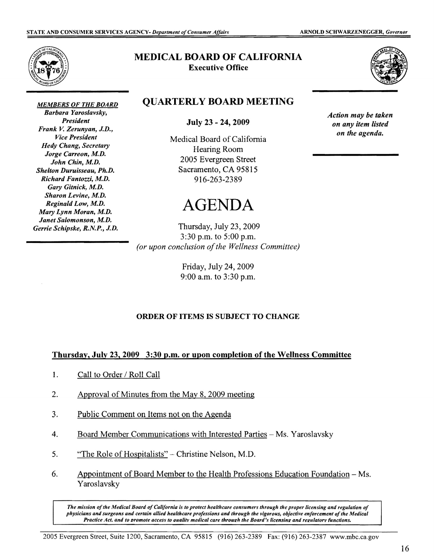

*MEMBERS OF THE BOARD Barbara Yaroslavsky, President Frank* **V.** *Zerunyan, J.D., Vice President Hedy Chang, Secretary Jorge Carreon, M.D. John Chin, M.D. Shelton Duruisseau, Ph.D. Richard Fantozz~ M.D. Gary Gitnick, M.D. Sharon Levine, M.D. Reginald Low, M.D. Mary Lynn Moran, M.D. Janet Salomonson, M.D. Gerrie Schipske, R.N.P., J.D.* 

### **MEDICAL BOARD OF CALIFORNIA Executive Office**



## **QUARTERLY BOARD MEETING**

**July 23** - **24, 2009** 

Medical Board of California Hearing Room 2005 Evergreen Street Sacramento, CA 95815 916-263-2389

# AGENDA

Thursday, July 23, 2009 3:30 p.m. to 5:00 p.m. *(or upon conclusion of the Wellness Committee)* 

> Friday, July 24, 2009 9:00 a.m. to 3:30 p.m.

#### **ORDER OF ITEMS IS SUBJECT TO CHANGE**

#### **Thursday, July 23, 2009 3:30 p.m. or upon completion of the Wellness Committee**

- $\mathbf{1}$ . Call to Order/ Roll Call
- 2. Approval of Minutes from the May 8, 2009 meeting
- 3. Public Comment on Items not on the Agenda
- 4. Board Member Communications with Interested Parties Ms. Yaroslavsky
- 5. "The Role of Hospitalists" Christine Nelson, M.D.
- 6. Appointment of Board Member to the Health Professions Education Foundation Ms. Y aroslavsky

The mission of the Medical Board of California is to protect healthcare consumers through the proper licensing and regulation of *physicians and surgeons and certain allied healthcare professions and through the vigorous, objecdve enforcement ofthe Medical Practice Act, and to promote access to auality medical care through the Board's licensing and regulatory functions.* 

*Action may be taken on any item listed on the agenda.*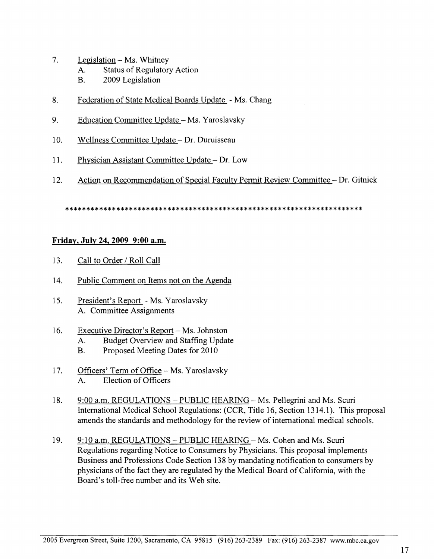- 7. Legislation- Ms. Whitney
	- A. Status of Regulatory Action
	- **B.** 2009 Legislation
- 8. Federation of State Medical Boards Update Ms. Chang
- 9. Education Committee Update Ms. Yaroslavsky
- 10. Wellness Committee Update Dr. Duruisseau
- 11. Physician Assistant Committee Update Dr. Low
- 12. Action on Recommendation of Special Faculty Permit Review Committee-Dr. Gitnick

\*\*\*\*\*\*\*\*\*\*\*\*\*\*\*\*\*\*\*\*\*\*\*\*\*\*\*\*\*\*\*\*\*\*\*\*\*\*\*\*\*\*\*\*\*\*\*\*\*\*\*\*\*\*\*\*\*\*\*\*\*\*\*\*\*\*\*\*\*\*

#### **Friday, July 24, 2009 9:00 a.m.**

- 13. Call to Order / Roll Call
- 14. Public Comment on Items not on the Agenda
- 15. President's Report Ms. Yaroslavsky A. Committee Assignments
- 16. Executive Director's Report-Ms. Johnston
	- A. Budget Overview and Staffing Update
	- **B.** Proposed Meeting Dates for 2010
- 17. Officers' Term of Office Ms. Yaroslavsky A. Election of Officers
- 18. 9:00 a.m. REGULATIONS PUBLIC HEARING Ms. Pellegrini and Ms. Scuri International Medical School Regulations: (CCR, Title 16, Section 1314.1 ). This proposal amends the standards and methodology for the review of international medical schools.
- 19. 9:10 a.m. REGULATIONS- PUBLIC HEARING- Ms. Cohen and Ms. Scuri Regulations regarding Notice to Consumers by Physicians. This proposal implements Business and Professions Code Section 138 by mandating notification to consumers by physicians ofthe fact they are regulated by the Medical Board ofCalifornia, with the Board's toll-free number and its Web site.